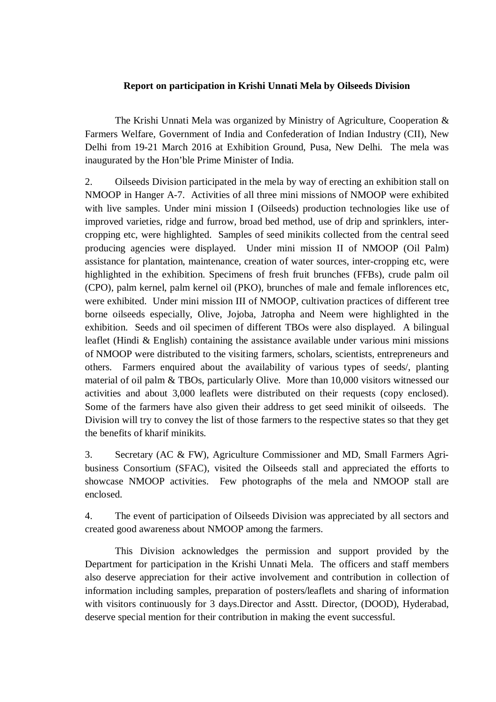## **Report on participation in Krishi Unnati Mela by Oilseeds Division**

The Krishi Unnati Mela was organized by Ministry of Agriculture, Cooperation & Farmers Welfare, Government of India and Confederation of Indian Industry (CII), New Delhi from 19-21 March 2016 at Exhibition Ground, Pusa, New Delhi. The mela was inaugurated by the Hon'ble Prime Minister of India.

2. Oilseeds Division participated in the mela by way of erecting an exhibition stall on NMOOP in Hanger A-7. Activities of all three mini missions of NMOOP were exhibited with live samples. Under mini mission I (Oilseeds) production technologies like use of improved varieties, ridge and furrow, broad bed method, use of drip and sprinklers, intercropping etc, were highlighted. Samples of seed minikits collected from the central seed producing agencies were displayed. Under mini mission II of NMOOP (Oil Palm) assistance for plantation, maintenance, creation of water sources, inter-cropping etc, were highlighted in the exhibition. Specimens of fresh fruit brunches (FFBs), crude palm oil (CPO), palm kernel, palm kernel oil (PKO), brunches of male and female inflorences etc, were exhibited. Under mini mission III of NMOOP, cultivation practices of different tree borne oilseeds especially, Olive, Jojoba, Jatropha and Neem were highlighted in the exhibition. Seeds and oil specimen of different TBOs were also displayed. A bilingual leaflet (Hindi & English) containing the assistance available under various mini missions of NMOOP were distributed to the visiting farmers, scholars, scientists, entrepreneurs and others. Farmers enquired about the availability of various types of seeds/, planting material of oil palm & TBOs, particularly Olive. More than 10,000 visitors witnessed our activities and about 3,000 leaflets were distributed on their requests (copy enclosed). Some of the farmers have also given their address to get seed minikit of oilseeds. The Division will try to convey the list of those farmers to the respective states so that they get the benefits of kharif minikits.

3. Secretary (AC & FW), Agriculture Commissioner and MD, Small Farmers Agribusiness Consortium (SFAC), visited the Oilseeds stall and appreciated the efforts to showcase NMOOP activities. Few photographs of the mela and NMOOP stall are enclosed.

4. The event of participation of Oilseeds Division was appreciated by all sectors and created good awareness about NMOOP among the farmers.

This Division acknowledges the permission and support provided by the Department for participation in the Krishi Unnati Mela. The officers and staff members also deserve appreciation for their active involvement and contribution in collection of information including samples, preparation of posters/leaflets and sharing of information with visitors continuously for 3 days.Director and Asstt. Director, (DOOD), Hyderabad, deserve special mention for their contribution in making the event successful.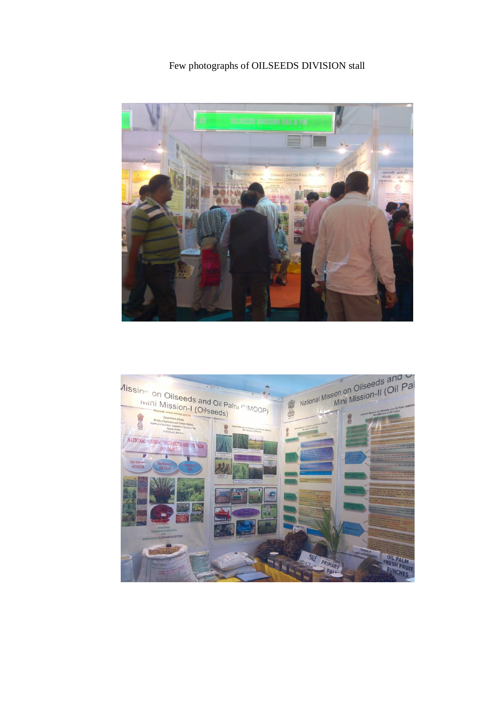## Few photographs of OILSEEDS DIVISION stall



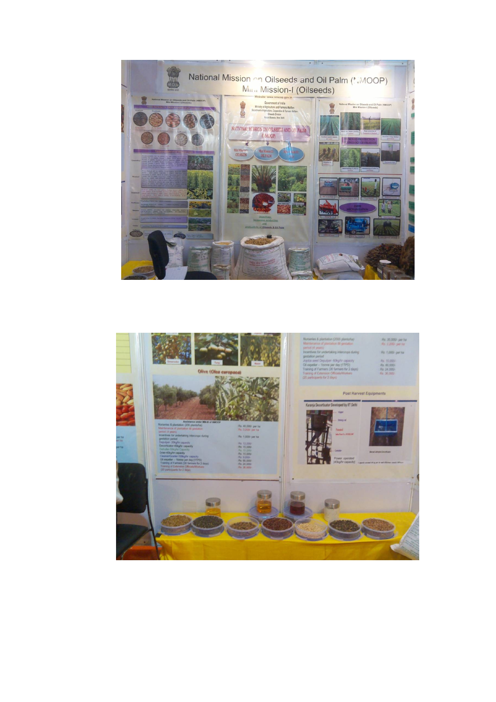

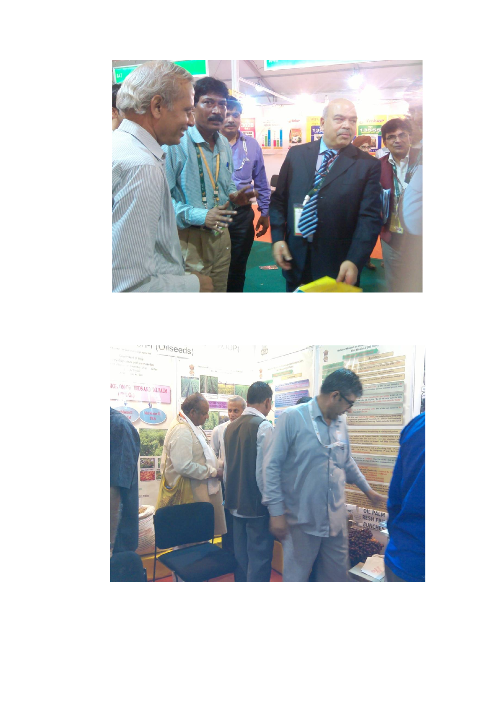